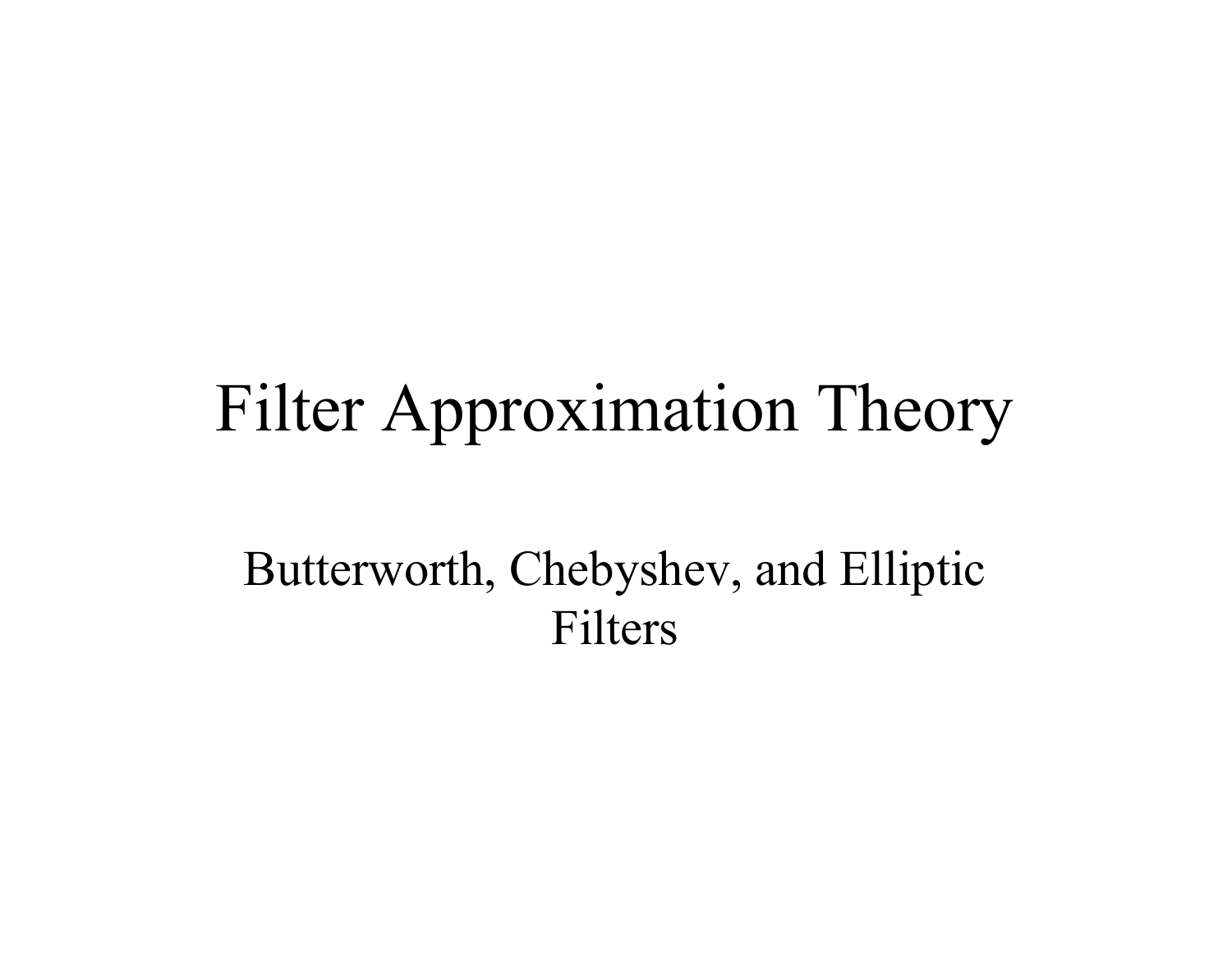#### Filter Approximation Theory

Butterworth, Chebyshev, and Elliptic Filters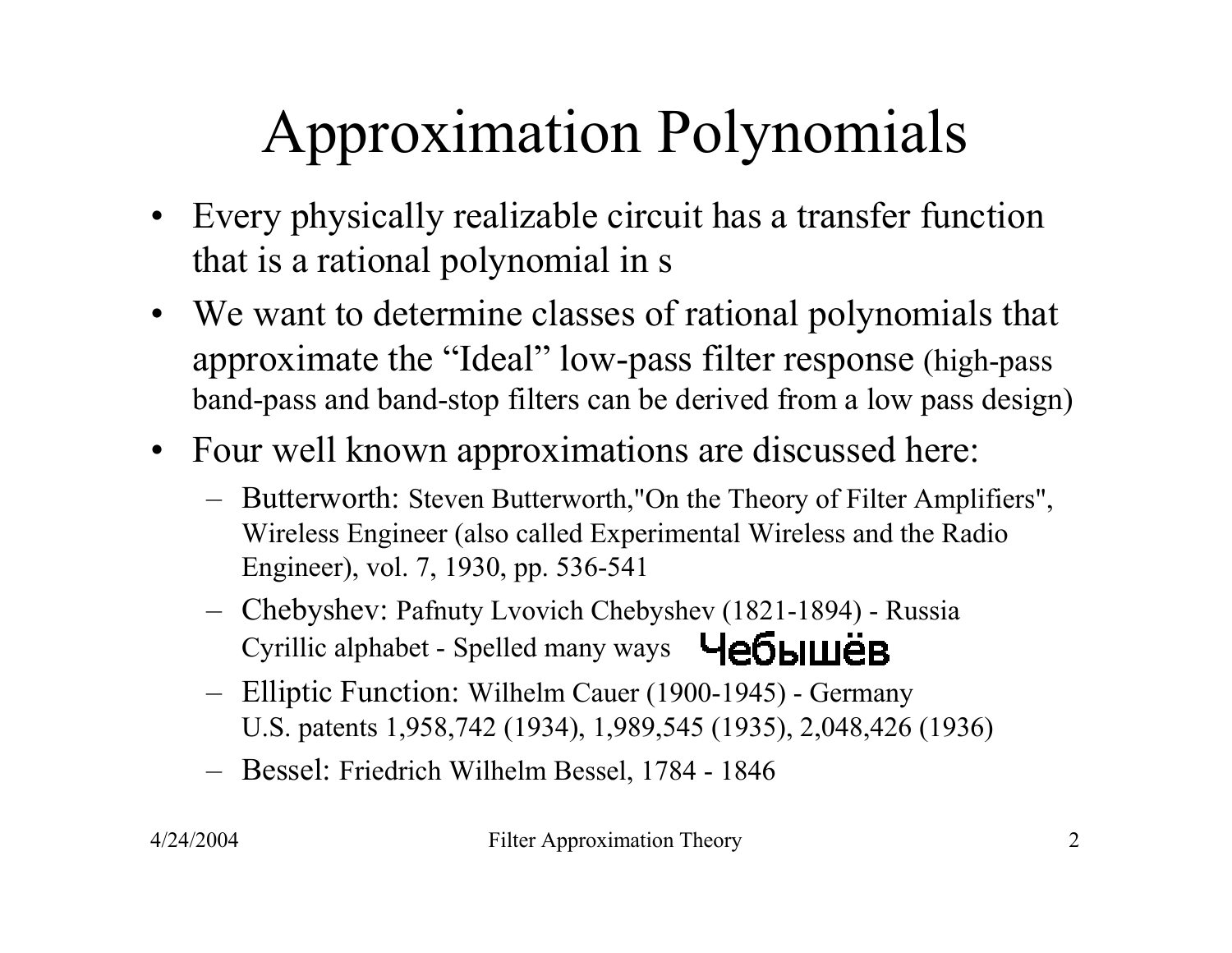### Approximation Polynomials

- Every physically realizable circuit has a transfer function that is a rational polynomial in s
- We want to determine classes of rational polynomials that approximate the "Ideal" low-pass filter response (high-pass band-pass and band-stop filters can be derived from a low pass design)
- Four well known approximations are discussed here:
	- – Butterworth: Steven Butterworth,"On the Theory of Filter Amplifiers", Wireless Engineer (also called Experimental Wireless and the Radio Engineer), vol. 7, 1930, pp. 536-541
	- – Chebyshev: Pafnuty Lvovich Chebyshev (1821-1894) - Russia Cyrillic alphabet - Spelled many ways Чебышёв
	- – Elliptic Function: Wilhelm Cauer (1900-1945) - Germany U.S. patents 1,958,742 (1934), 1,989,545 (1935), 2,048,426 (1936)
	- Bessel: Friedrich Wilhelm Bessel, 1784 1846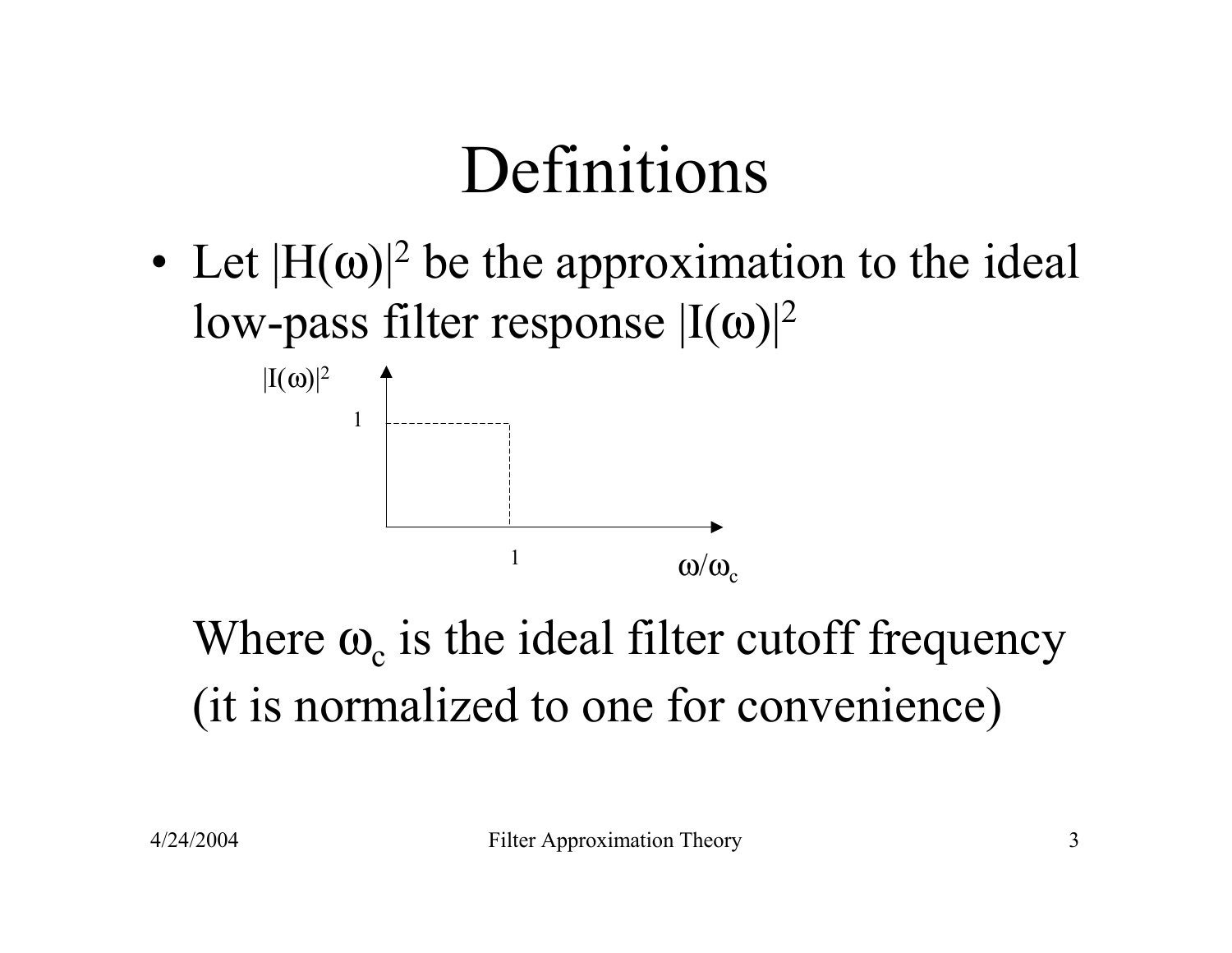### Definitions

• Let  $|H(\omega)|^2$  be the approximation to the ideal low-pass filter response  $|{\rm I}(\omega)|^2$ 



Where  $\omega_c$  is the ideal filter cutoff frequency (it is normalized to one for convenience)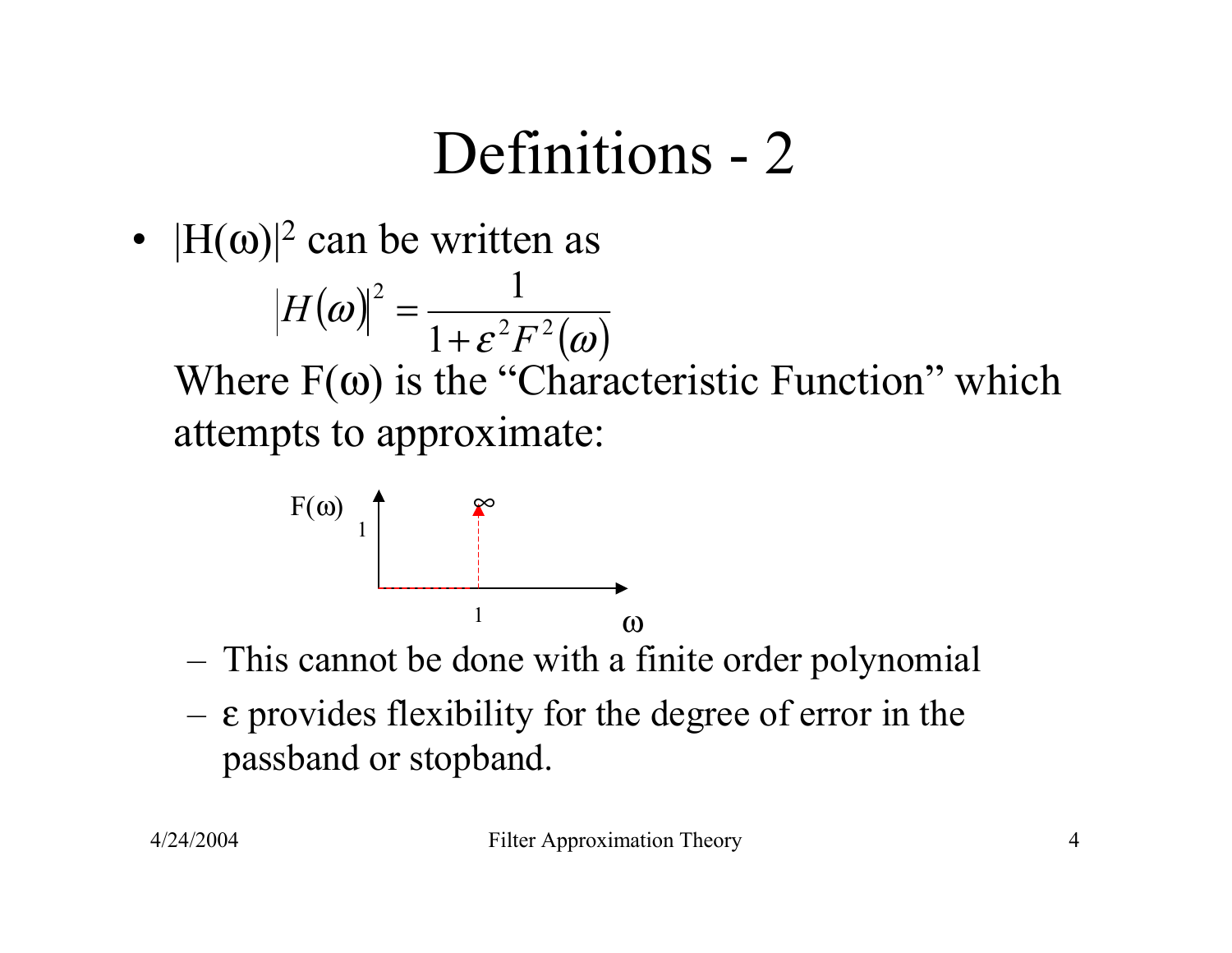#### Definitions - 2

•  $|H(\omega)|^2$  can be written as

 $(\omega)$  $\bm{\mathcal{E}}^2F^2(\bm{ \omega})$  $\omega$  =  $\frac{1}{1+\epsilon^2 E^2}$ 2 1 1 *F H* + =

Where  $F(\omega)$  is the "Characteristic Function" which attempts to approximate:



- –This cannot be done with a finite order polynomial
- <sup>ε</sup> provides flexibility for the degree of error in the passband or stopband.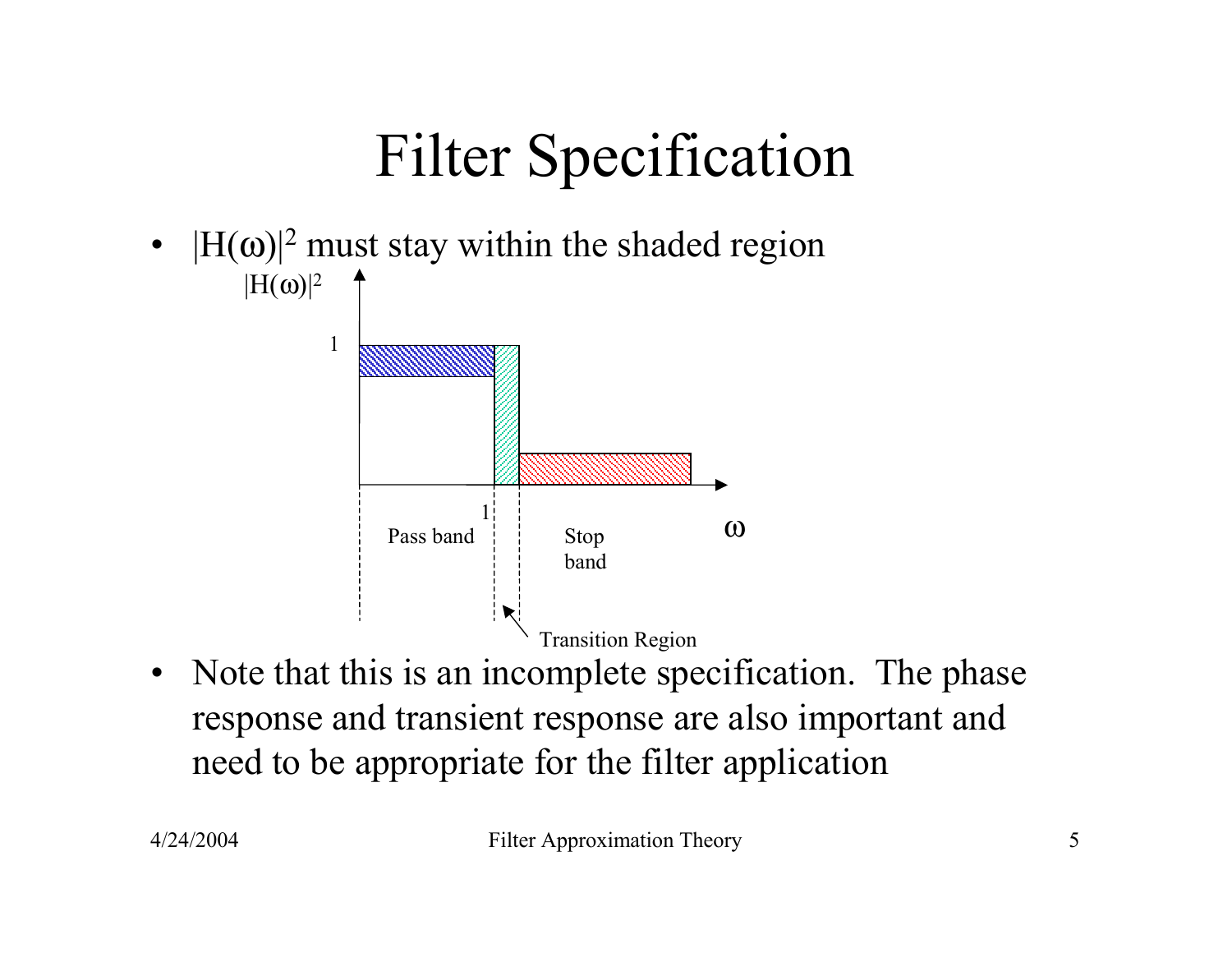### Filter Specification

- $\bullet$  $|H(\omega)|^2$  must stay within the shaded region  $|{\rm H}(\omega)|^2$ 1
	- $\begin{array}{c} 1 \ \vdots \ \vdots \ \end{array}$  Stop  $\begin{array}{c} 0 \end{array}$ Pass band Stop band Transition Region
- $\bullet$  Note that this is an incomplete specification. The phase response and transient response are also important and need to be appropriate for the filter application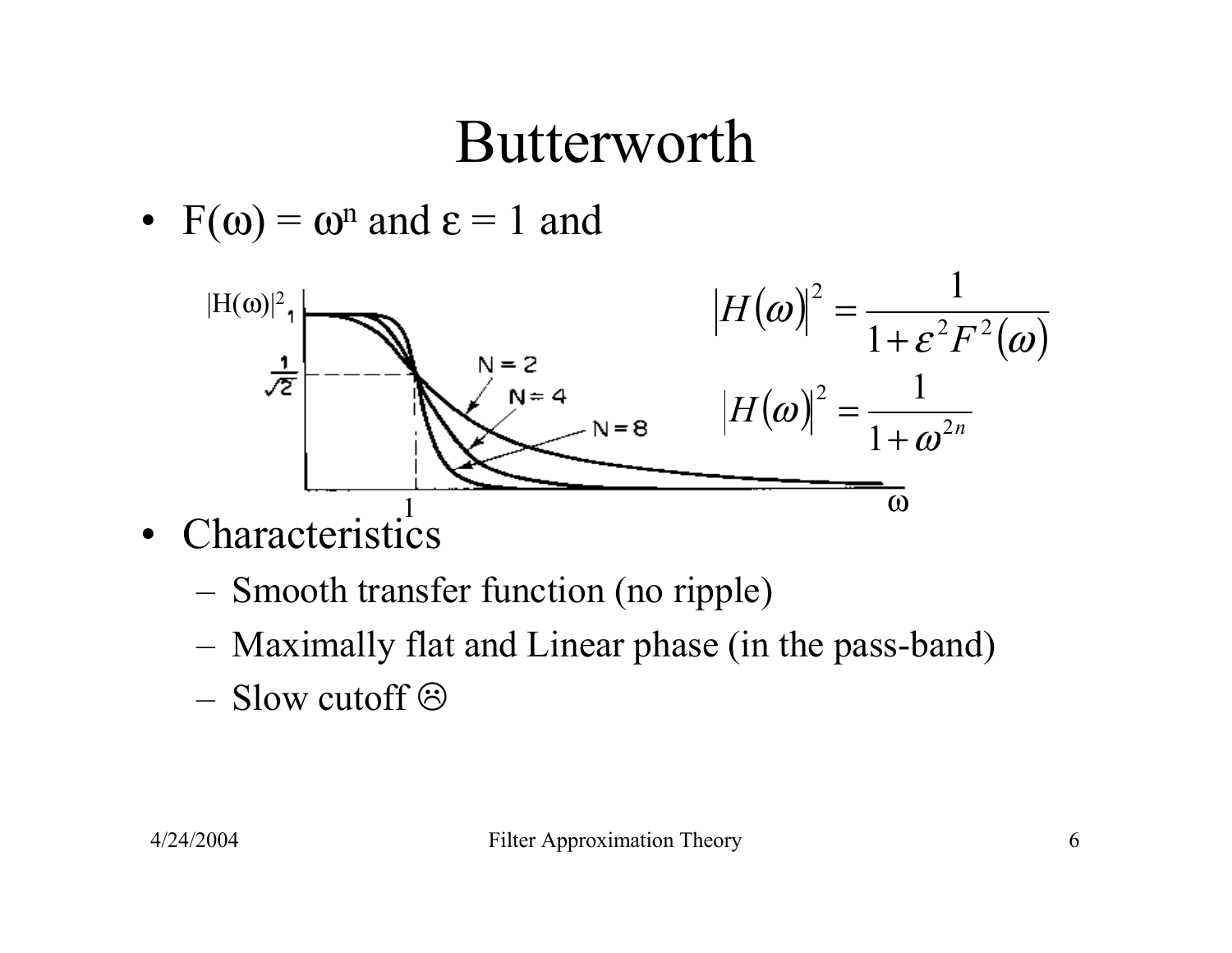#### Butterworth

•  $F(\omega) = \omega^n$  and  $\varepsilon = 1$  and



- • Characteristics
	- –Smooth transfer function (no ripple)
	- –Maximally flat and Linear phase (in the pass-band)
	- $-$  Slow cutoff  $\odot$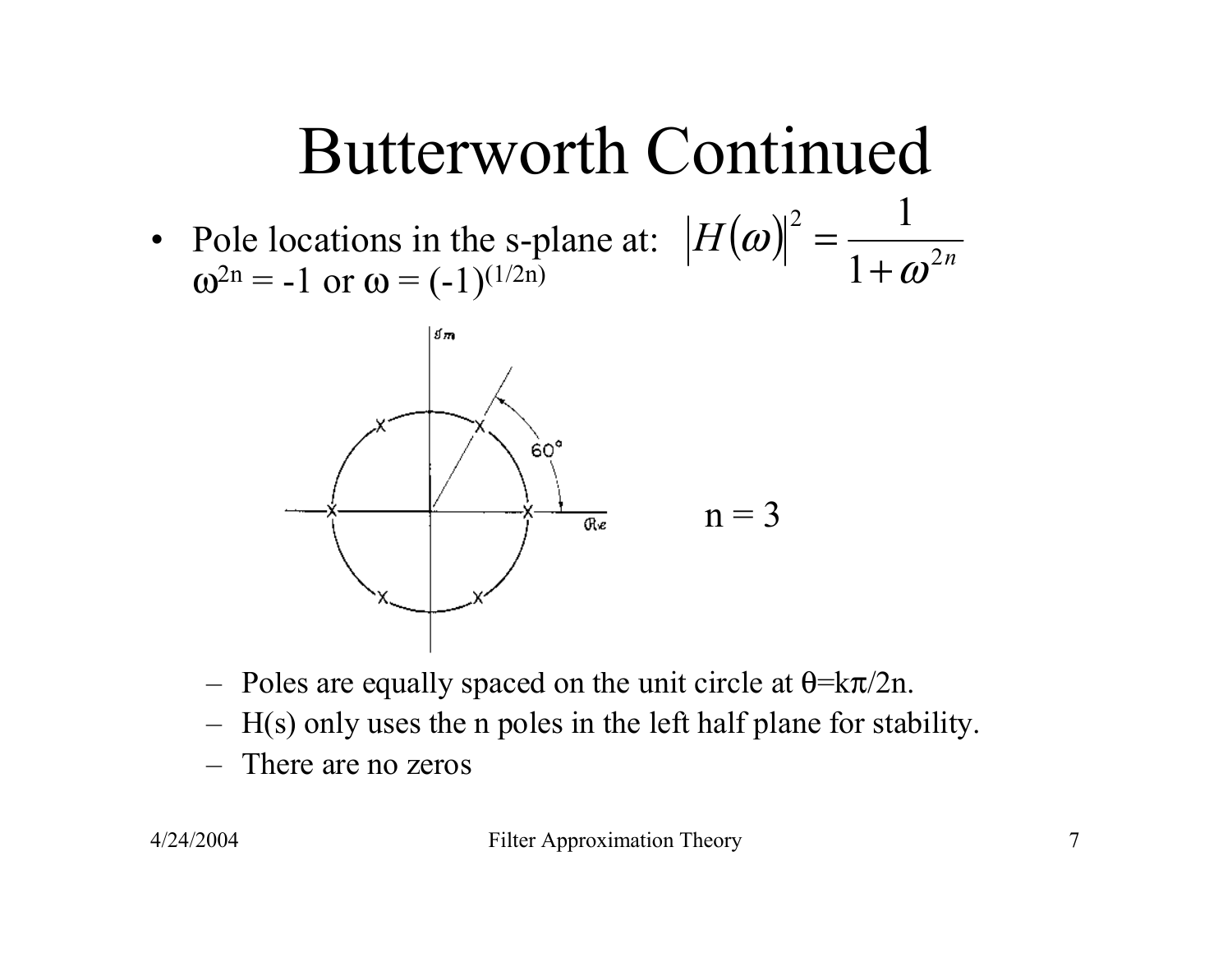### Butterworth Continued

• Pole locations in the s-plane at:  $\omega^{2n} = -1$  or  $\omega = (-1)^{(1/2n)}$  $H({\boldsymbol{\omega}})$ 2 *n* 2 1 1 ω ω + =



- Poles are equally spaced on the unit circle at  $\theta = k\pi/2n$ .
- –H(s) only uses the n poles in the left half plane for stability.
- –There are no zeros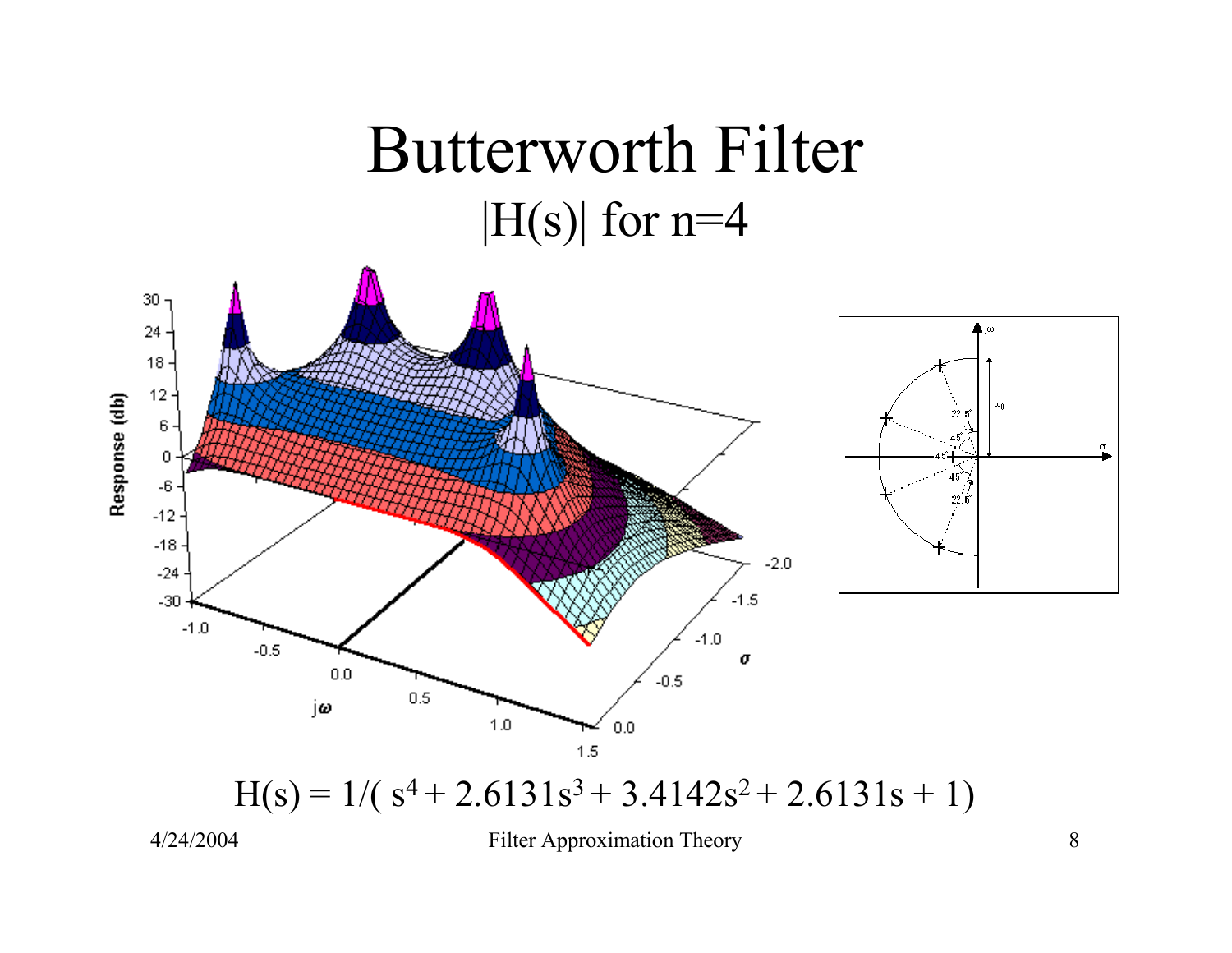#### Butterworth Filter  $|H(s)|$  for n=4



4/24/2004 Filter Approximation Theory 8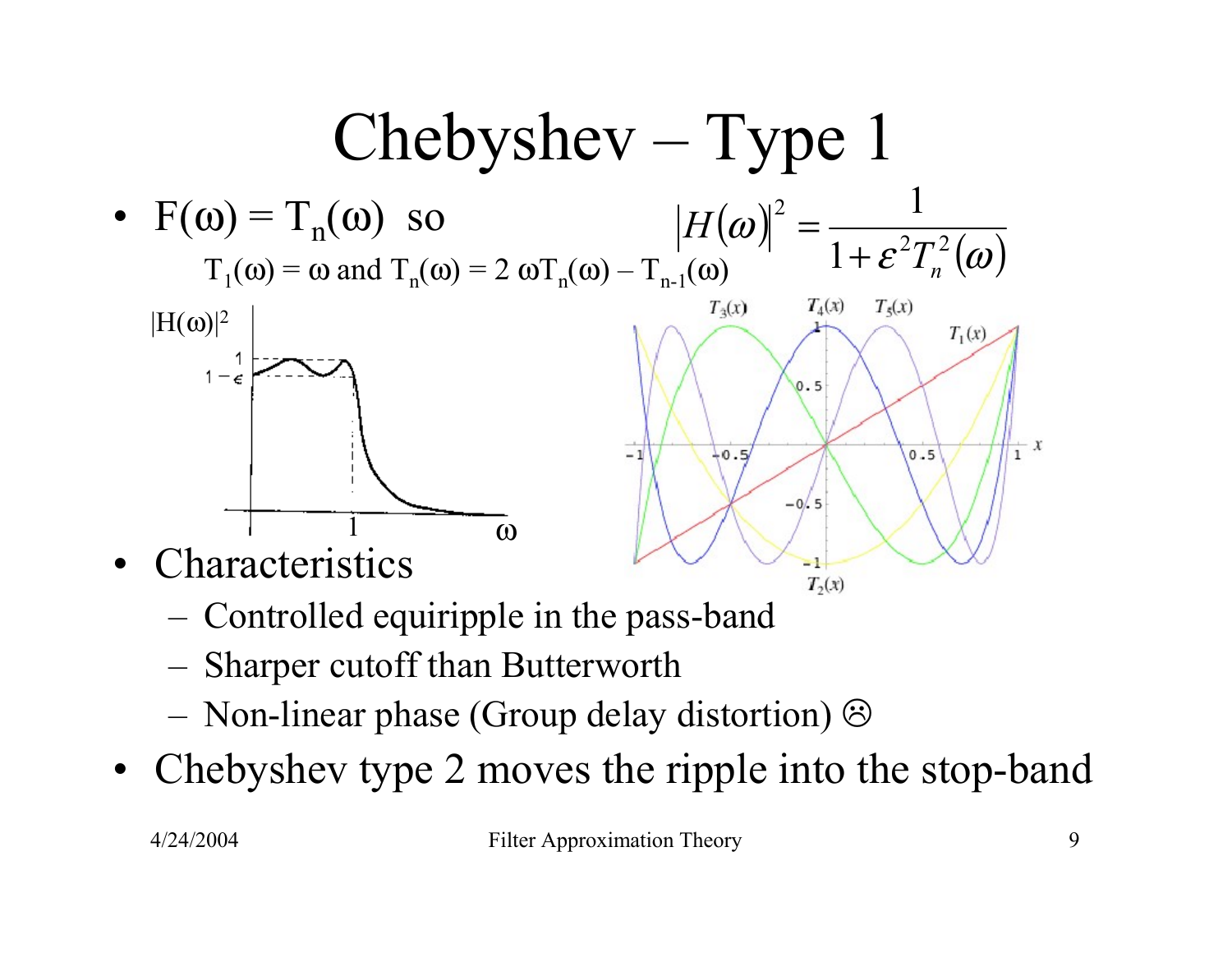

- –Controlled equiripple in the pass-band
- –Sharper cutoff than Butterworth
- –Non-linear phase (Group delay distortion)
- •Chebyshev type 2 moves the ripple into the stop-band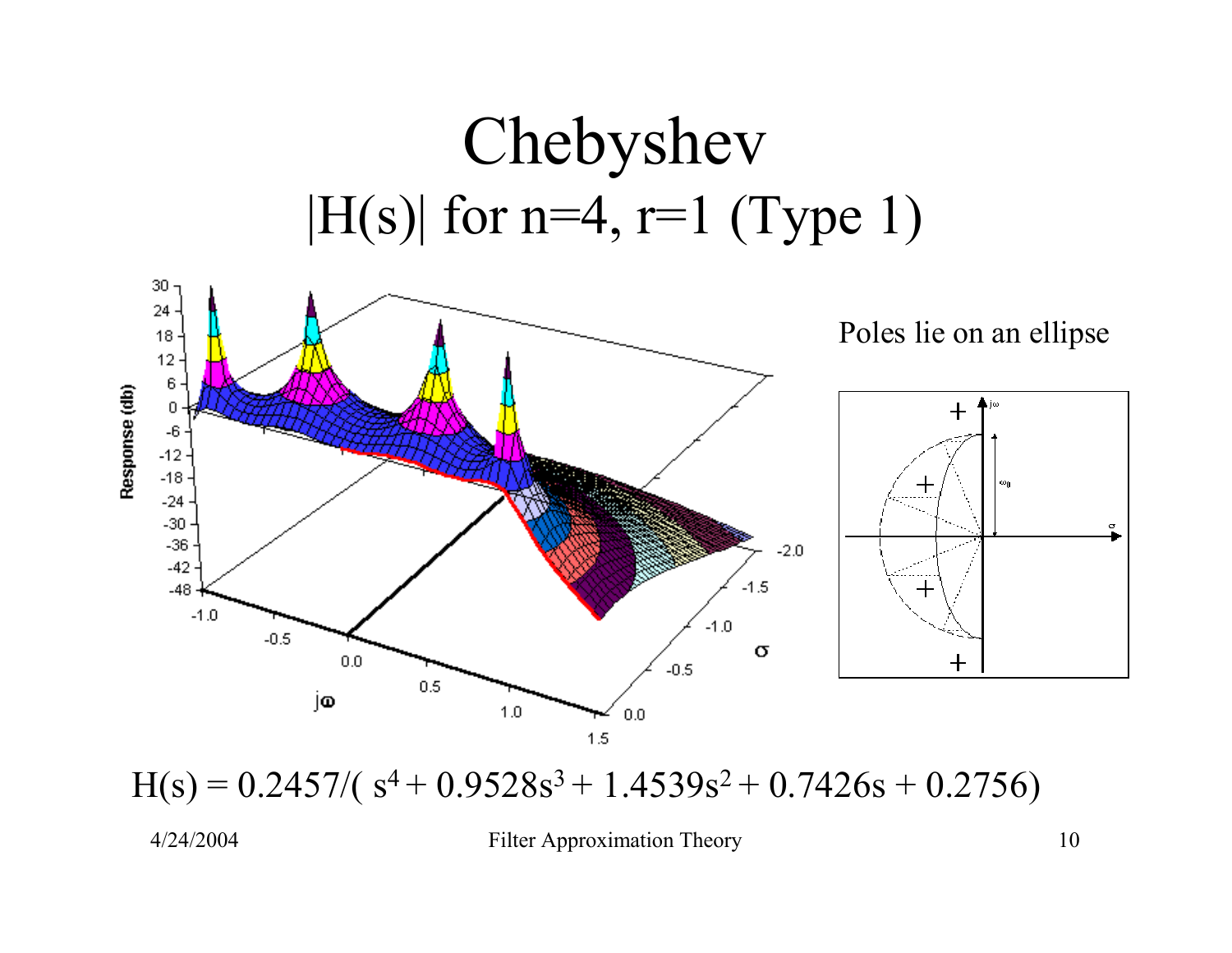### Chebyshev  $|H(s)|$  for n=4, r=1 (Type 1)



 $H(s) = 0.2457/(s^4 + 0.9528s^3 + 1.4539s^2 + 0.7426s + 0.2756)$ 

4/24/2004 Filter Approximation Theory 10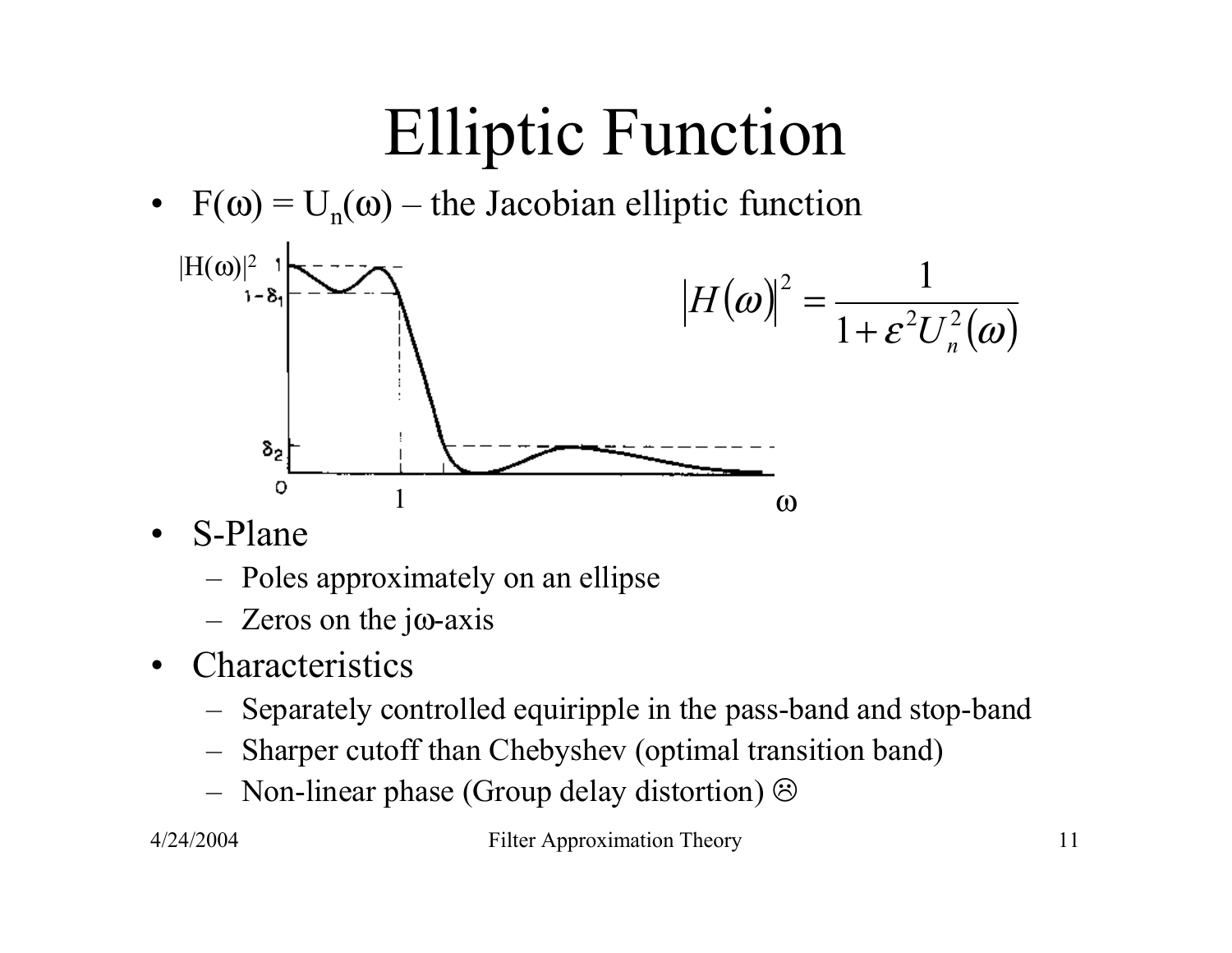# Elliptic Function

•  $F(\omega) = U_n(\omega) -$  the Jacobian elliptic function



- $\bullet$  S-Plane
	- Poles approximately on an ellipse
	- –Zeros on the j ω-axis
- Characteristics
	- –Separately controlled equiripple in the pass-band and stop-band
	- –Sharper cutoff than Chebyshev (optimal transition band)
	- Non-linear phase (Group delay distortion)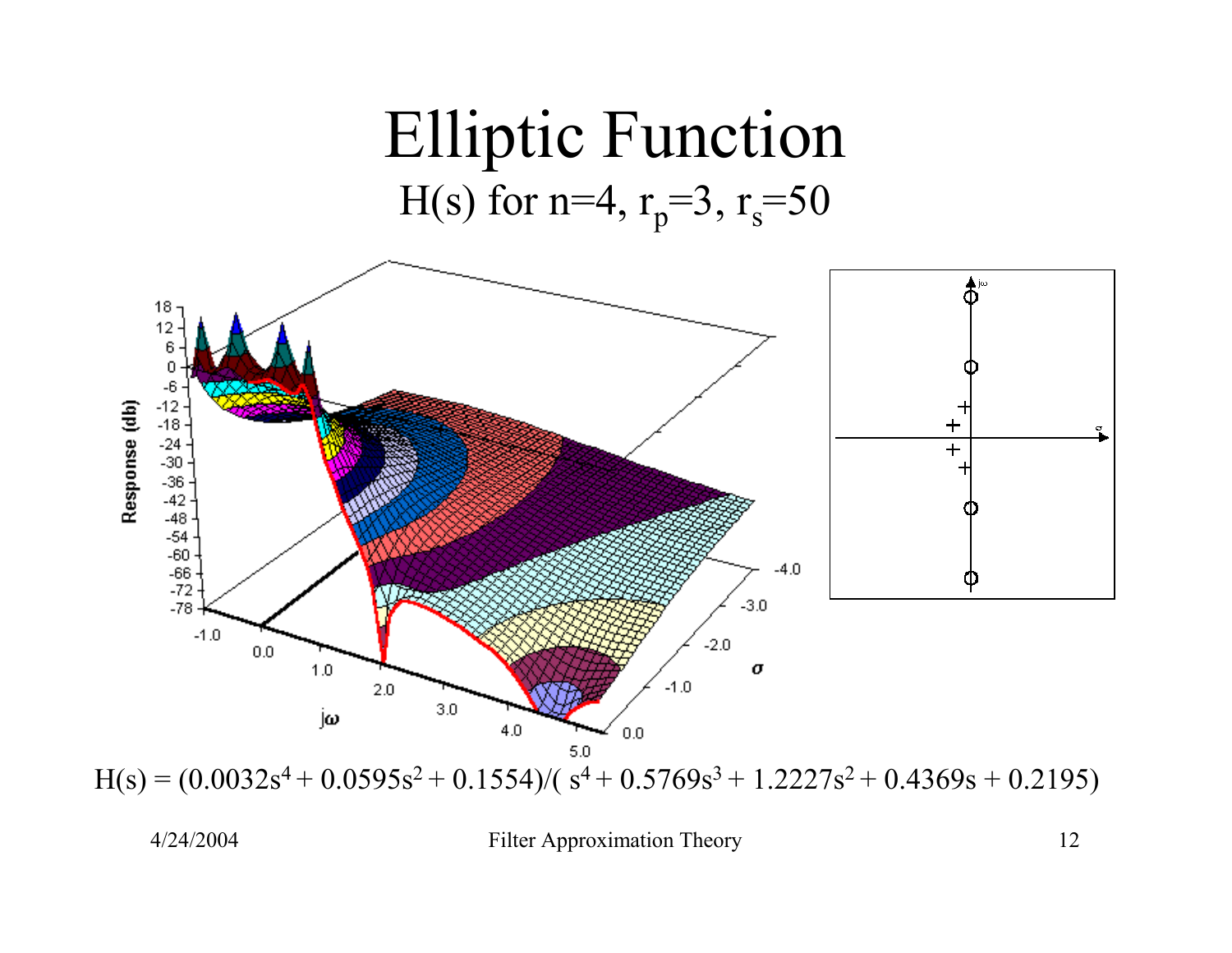

 $H(s) = (0.0032s<sup>4</sup> + 0.0595s<sup>2</sup> + 0.1554)/(s<sup>4</sup> + 0.5769s<sup>3</sup> + 1.2227s<sup>2</sup> + 0.4369s + 0.2195)$ 

4/24/2004 Filter Approximation Theory 12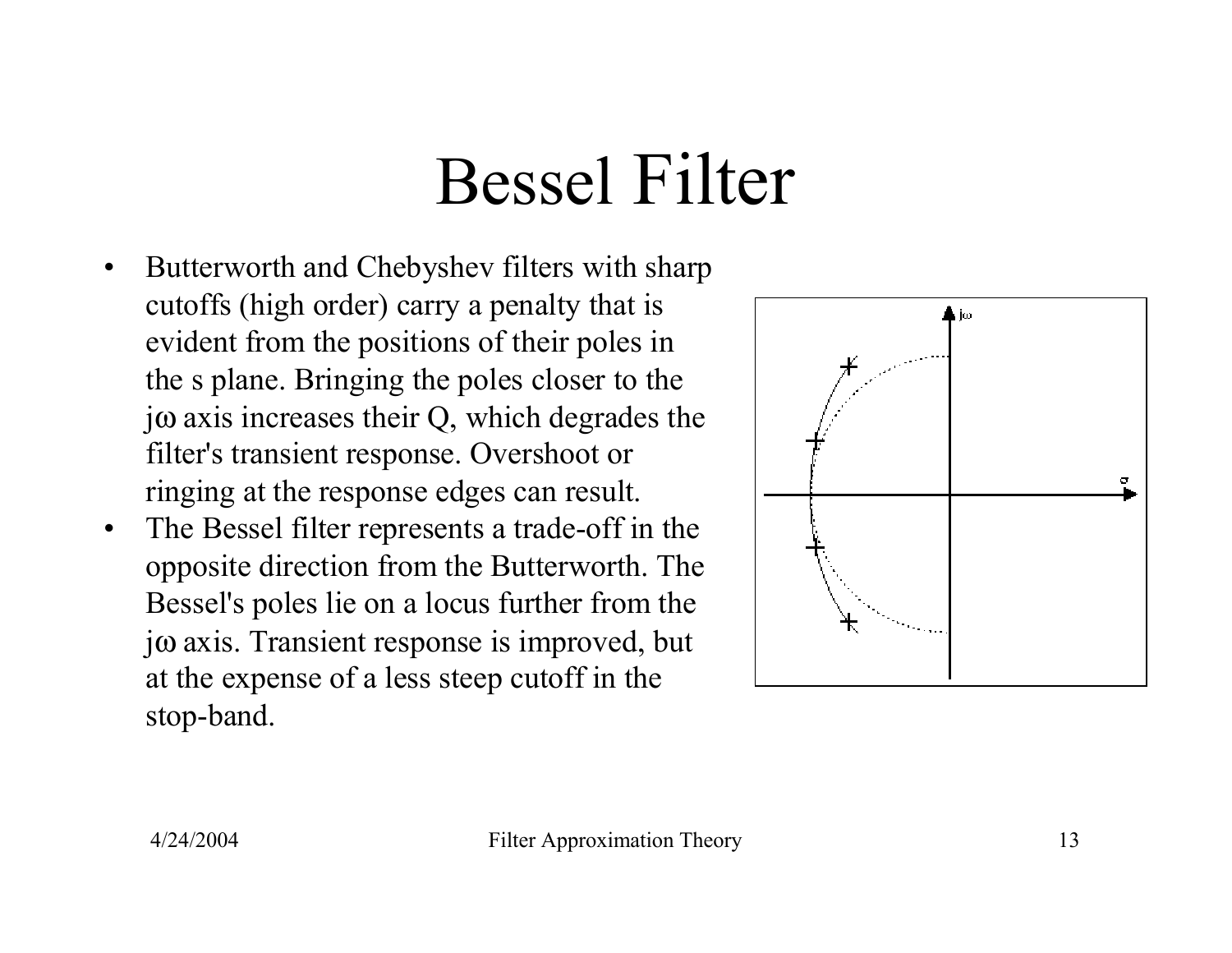## Bessel Filter

- • Butterworth and Chebyshev filters with sharp cutoffs (high order) carry a penalty that is evident from the positions of their poles in the s plane. Bringing the poles closer to the j <sup>ω</sup> axis increases their Q, which degrades the filter's transient response. Overshoot or ringing at the response edges can result.
- • The Bessel filter represents a trade-off in the opposite direction from the Butterworth. The Bessel's poles lie on a locus further from the j <sup>ω</sup> axis. Transient response is improved, but at the expense of a less steep cutoff in the stop-band.